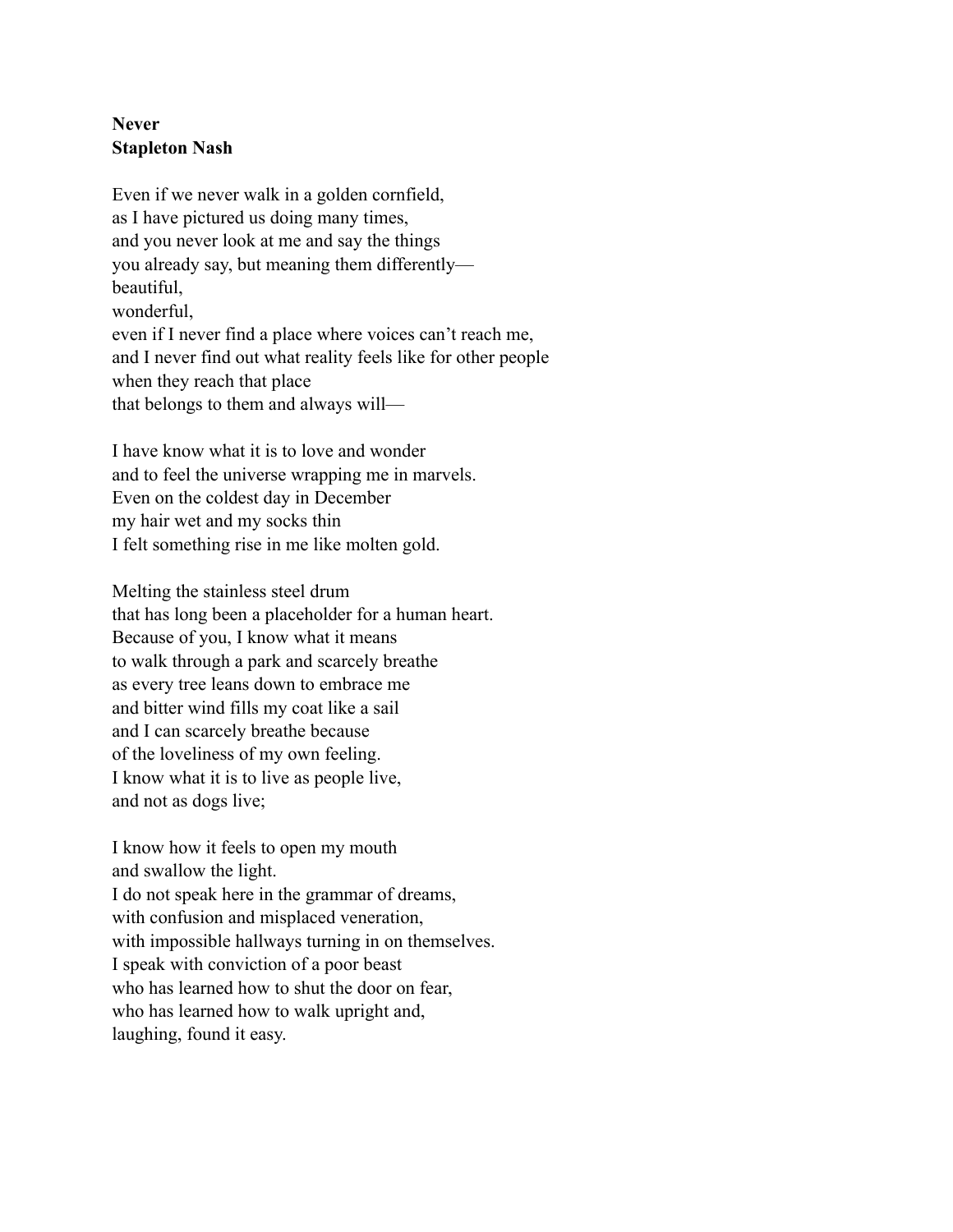## **Never Stapleton Nash**

Even if we never walk in a golden cornfield, as I have pictured us doing many times, and you never look at me and say the things you already say, but meaning them differently beautiful, wonderful, even if I never find a place where voices can't reach me, and I never find out what reality feels like for other people when they reach that place that belongs to them and always will—

I have know what it is to love and wonder and to feel the universe wrapping me in marvels. Even on the coldest day in December my hair wet and my socks thin I felt something rise in me like molten gold.

Melting the stainless steel drum that has long been a placeholder for a human heart. Because of you, I know what it means to walk through a park and scarcely breathe as every tree leans down to embrace me and bitter wind fills my coat like a sail and I can scarcely breathe because of the loveliness of my own feeling. I know what it is to live as people live, and not as dogs live;

I know how it feels to open my mouth and swallow the light. I do not speak here in the grammar of dreams, with confusion and misplaced veneration, with impossible hallways turning in on themselves. I speak with conviction of a poor beast who has learned how to shut the door on fear, who has learned how to walk upright and, laughing, found it easy.